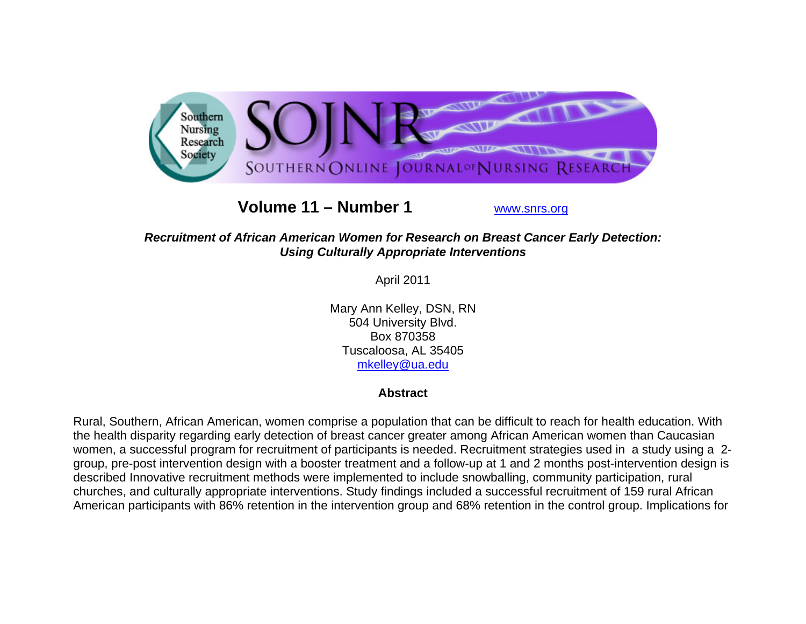

# **Volume 11 – Number 1**

www.snrs.org

## *Recruitment of African American Women for Research on Breast Cancer Early Detection: Using Culturally Appropriate Interventions*

April 2011

Mary Ann Kelley, DSN, RN 504 University Blvd. Box 870358 Tuscaloosa, AL 35405 mkelley@ua.edu

## **Abstract**

Rural, Southern, African American, women comprise a population that can be difficult to reach for health education. With the health disparity regarding early detection of breast cancer greater among African American women than Caucasian women, a successful program for recruitment of participants is needed. Recruitment strategies used in a study using a 2 group, pre-post intervention design with a booster treatment and a follow-up at 1 and 2 months post-intervention design is described Innovative recruitment methods were implemented to include snowballing, community participation, rural churches, and culturally appropriate interventions. Study findings included a successful recruitment of 159 rural African American participants with 86% retention in the intervention group and 68% retention in the control group. Implications for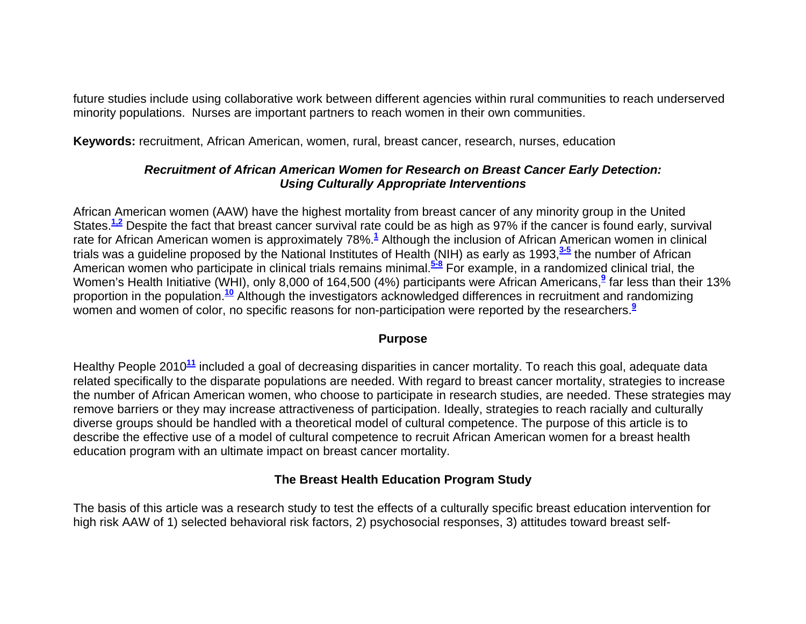future studies include using collaborative work between different agencies within rural communities to reach underserved minority populations. Nurses are important partners to reach women in their own communities.

**Keywords:** recruitment, African American, women, rural, breast cancer, research, nurses, education

## *Recruitment of African American Women for Research on Breast Cancer Early Detection: Using Culturally Appropriate Interventions*

African American women (AAW) have the highest mortality from breast cancer of any minority group in the United States.**1,2** Despite the fact that breast cancer survival rate could be as high as 97% if the cancer is found early, survival rate for African American women is approximately 78%.**<sup>1</sup>** Although the inclusion of African American women in clinical trials was a guideline proposed by the National Institutes of Health (NIH) as early as 1993,**3-5** the number of African American women who participate in clinical trials remains minimal.**5-8** For example, in a randomized clinical trial, the Women's Health Initiative (WHI), only 8,000 of 164,500 (4%) participants were African Americans,<sup>9</sup> far less than their 13% proportion in the population.**<sup>10</sup>** Although the investigators acknowledged differences in recruitment and randomizing women and women of color, no specific reasons for non-participation were reported by the researchers.**<sup>9</sup>**

#### **Purpose**

Healthy People 2010**<sup>11</sup>** included a goal of decreasing disparities in cancer mortality. To reach this goal, adequate data related specifically to the disparate populations are needed. With regard to breast cancer mortality, strategies to increase the number of African American women, who choose to participate in research studies, are needed. These strategies may remove barriers or they may increase attractiveness of participation. Ideally, strategies to reach racially and culturally diverse groups should be handled with a theoretical model of cultural competence. The purpose of this article is to describe the effective use of a model of cultural competence to recruit African American women for a breast health education program with an ultimate impact on breast cancer mortality.

## **The Breast Health Education Program Study**

The basis of this article was a research study to test the effects of a culturally specific breast education intervention for high risk AAW of 1) selected behavioral risk factors, 2) psychosocial responses, 3) attitudes toward breast self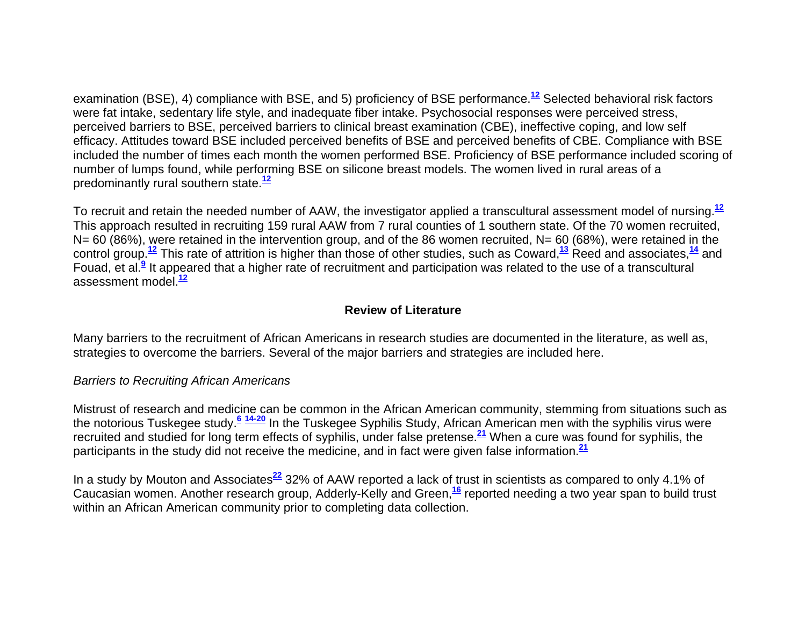examination (BSE), 4) compliance with BSE, and 5) proficiency of BSE performance.**<sup>12</sup>** Selected behavioral risk factors were fat intake, sedentary life style, and inadequate fiber intake. Psychosocial responses were perceived stress, perceived barriers to BSE, perceived barriers to clinical breast examination (CBE), ineffective coping, and low self efficacy. Attitudes toward BSE included perceived benefits of BSE and perceived benefits of CBE. Compliance with BSE included the number of times each month the women performed BSE. Proficiency of BSE performance included scoring of number of lumps found, while performing BSE on silicone breast models. The women lived in rural areas of a predominantly rural southern state.**<sup>12</sup>**

To recruit and retain the needed number of AAW, the investigator applied a transcultural assessment model of nursing.**<sup>12</sup>** This approach resulted in recruiting 159 rural AAW from 7 rural counties of 1 southern state. Of the 70 women recruited,  $N= 60$  (86%), were retained in the intervention group, and of the 86 women recruited,  $N= 60$  (68%), were retained in the control group.**<sup>12</sup>** This rate of attrition is higher than those of other studies, such as Coward,**<sup>13</sup>** Reed and associates,**<sup>14</sup>** and Fouad, et al.**<sup>9</sup>** It appeared that a higher rate of recruitment and participation was related to the use of a transcultural assessment model.**<sup>12</sup>**

## **Review of Literature**

Many barriers to the recruitment of African Americans in research studies are documented in the literature, as well as, strategies to overcome the barriers. Several of the major barriers and strategies are included here.

#### *Barriers to Recruiting African Americans*

Mistrust of research and medicine can be common in the African American community, stemming from situations such as the notorious Tuskegee study.**<sup>6</sup> 14-20** In the Tuskegee Syphilis Study, African American men with the syphilis virus were recruited and studied for long term effects of syphilis, under false pretense.**<sup>21</sup>** When a cure was found for syphilis, the participants in the study did not receive the medicine, and in fact were given false information.**<sup>21</sup>**

In a study by Mouton and Associates**<sup>22</sup>** 32% of AAW reported a lack of trust in scientists as compared to only 4.1% of Caucasian women. Another research group, Adderly-Kelly and Green,**<sup>16</sup>** reported needing a two year span to build trust within an African American community prior to completing data collection.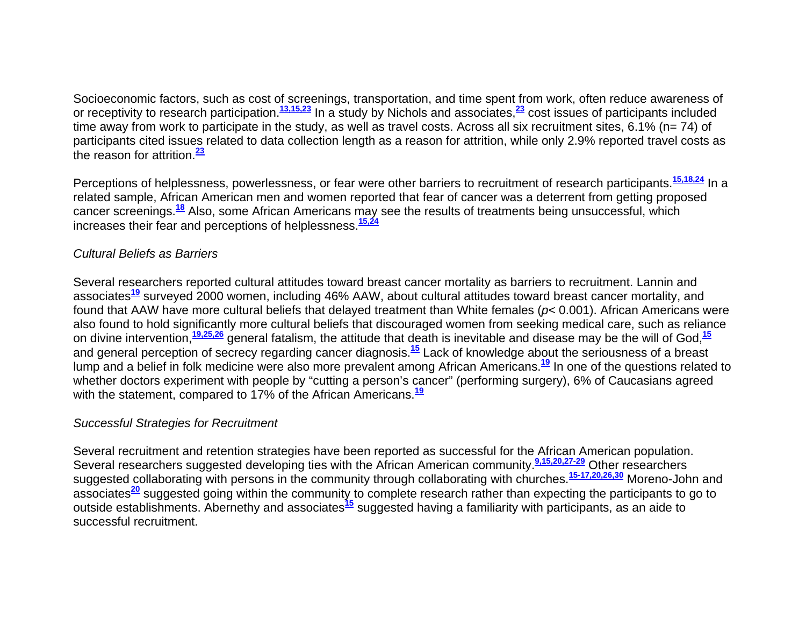Socioeconomic factors, such as cost of screenings, transportation, and time spent from work, often reduce awareness of or receptivity to research participation.**13,15,23** In a study by Nichols and associates,**<sup>23</sup>** cost issues of participants included time away from work to participate in the study, as well as travel costs. Across all six recruitment sites, 6.1% (n= 74) of participants cited issues related to data collection length as a reason for attrition, while only 2.9% reported travel costs as the reason for attrition.**<sup>23</sup>**

Perceptions of helplessness, powerlessness, or fear were other barriers to recruitment of research participants.**15,18,24** In a related sample, African American men and women reported that fear of cancer was a deterrent from getting proposed cancer screenings.**<sup>18</sup>** Also, some African Americans may see the results of treatments being unsuccessful, which increases their fear and perceptions of helplessness.**15,24**

#### *Cultural Beliefs as Barriers*

Several researchers reported cultural attitudes toward breast cancer mortality as barriers to recruitment. Lannin and associates**<sup>19</sup>** surveyed 2000 women, including 46% AAW, about cultural attitudes toward breast cancer mortality, and found that AAW have more cultural beliefs that delayed treatment than White females (*p<* 0.001). African Americans were also found to hold significantly more cultural beliefs that discouraged women from seeking medical care, such as reliance on divine intervention,**19,25,26** general fatalism, the attitude that death is inevitable and disease may be the will of God,**<sup>15</sup>** and general perception of secrecy regarding cancer diagnosis.**<sup>15</sup>** Lack of knowledge about the seriousness of a breast lump and a belief in folk medicine were also more prevalent among African Americans.**<sup>19</sup>** In one of the questions related to whether doctors experiment with people by "cutting a person's cancer" (performing surgery), 6% of Caucasians agreed with the statement, compared to 17% of the African Americans.**<sup>19</sup>**

#### *Successful Strategies for Recruitment*

Several recruitment and retention strategies have been reported as successful for the African American population. Several researchers suggested developing ties with the African American community.**9,15,20,27-29** Other researchers suggested collaborating with persons in the community through collaborating with churches.**15-17,20,26,30** Moreno-John and associates**<sup>20</sup>** suggested going within the community to complete research rather than expecting the participants to go to outside establishments. Abernethy and associates**<sup>15</sup>** suggested having a familiarity with participants, as an aide to successful recruitment.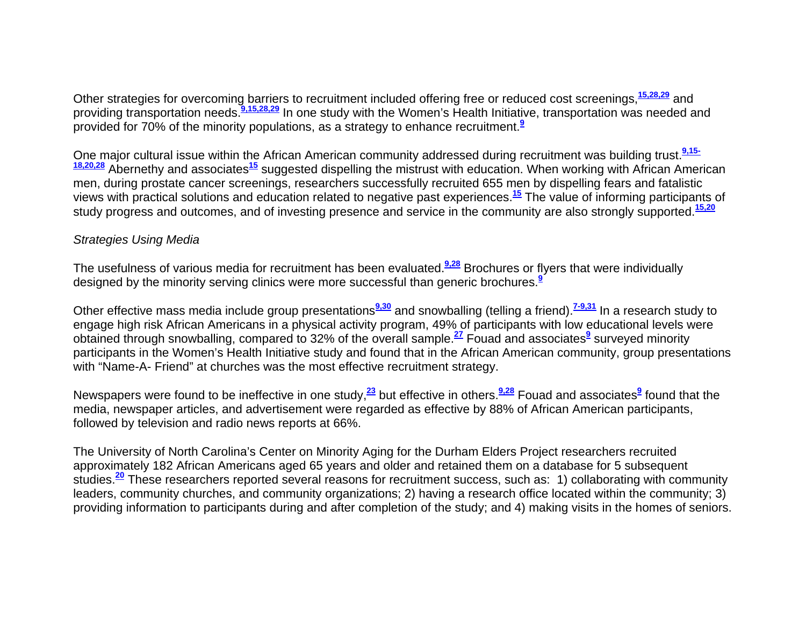Other strategies for overcoming barriers to recruitment included offering free or reduced cost screenings,**15,28,29** and providing transportation needs.**9,15,28,29** In one study with the Women's Health Initiative, transportation was needed and provided for 70% of the minority populations, as a strategy to enhance recruitment.**<sup>9</sup>**

One major cultural issue within the African American community addressed during recruitment was building trust.<sup>9.15-</sup><br><sup>18,20,28</sup> Abernethy and associates<sup>15</sup> suggested dispelling the mistrust with education. When working men, during prostate cancer screenings, researchers successfully recruited 655 men by dispelling fears and fatalistic views with practical solutions and education related to negative past experiences.**<sup>15</sup>** The value of informing participants of study progress and outcomes, and of investing presence and service in the community are also strongly supported.**15,20**

#### *Strategies Using Media*

The usefulness of various media for recruitment has been evaluated.**9,28** Brochures or flyers that were individually designed by the minority serving clinics were more successful than generic brochures.**<sup>9</sup>**

Other effective mass media include group presentations**9,30** and snowballing (telling a friend).**7-9,31** In a research study to engage high risk African Americans in a physical activity program, 49% of participants with low educational levels were obtained through snowballing, compared to 32% of the overall sample.**<sup>27</sup>** Fouad and associates**<sup>9</sup>** surveyed minority participants in the Women's Health Initiative study and found that in the African American community, group presentations with "Name-A- Friend" at churches was the most effective recruitment strategy.

Newspapers were found to be ineffective in one study,**<sup>23</sup>** but effective in others.**9,28** Fouad and associates**<sup>9</sup>** found that the media, newspaper articles, and advertisement were regarded as effective by 88% of African American participants, followed by television and radio news reports at 66%.

The University of North Carolina's Center on Minority Aging for the Durham Elders Project researchers recruited approximately 182 African Americans aged 65 years and older and retained them on a database for 5 subsequent studies.**<sup>20</sup>** These researchers reported several reasons for recruitment success, such as: 1) collaborating with community leaders, community churches, and community organizations; 2) having a research office located within the community; 3) providing information to participants during and after completion of the study; and 4) making visits in the homes of seniors.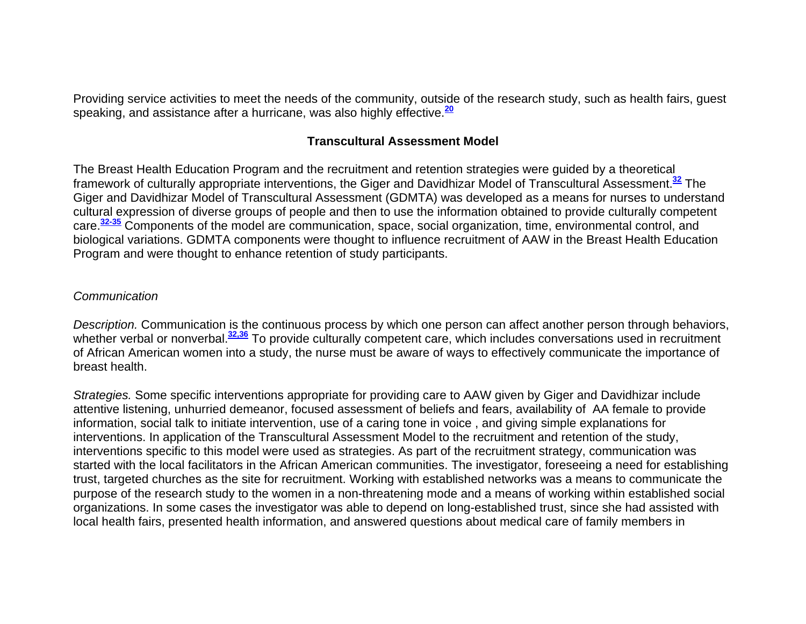Providing service activities to meet the needs of the community, outside of the research study, such as health fairs, guest speaking, and assistance after a hurricane, was also highly effective.**<sup>20</sup>**

#### **Transcultural Assessment Model**

The Breast Health Education Program and the recruitment and retention strategies were guided by a theoretical framework of culturally appropriate interventions, the Giger and Davidhizar Model of Transcultural Assessment.**<sup>32</sup>** The Giger and Davidhizar Model of Transcultural Assessment (GDMTA) was developed as a means for nurses to understand cultural expression of diverse groups of people and then to use the information obtained to provide culturally competent care.**32-35** Components of the model are communication, space, social organization, time, environmental control, and biological variations. GDMTA components were thought to influence recruitment of AAW in the Breast Health Education Program and were thought to enhance retention of study participants.

#### *Communication*

*Description.* Communication is the continuous process by which one person can affect another person through behaviors, whether verbal or nonverbal.<sup>32,36</sup> To provide culturally competent care, which includes conversations used in recruitment of African American women into a study, the nurse must be aware of ways to effectively communicate the importance of breast health.

*Strategies.* Some specific interventions appropriate for providing care to AAW given by Giger and Davidhizar include attentive listening, unhurried demeanor, focused assessment of beliefs and fears, availability of AA female to provide information, social talk to initiate intervention, use of a caring tone in voice , and giving simple explanations for interventions. In application of the Transcultural Assessment Model to the recruitment and retention of the study, interventions specific to this model were used as strategies. As part of the recruitment strategy, communication was started with the local facilitators in the African American communities. The investigator, foreseeing a need for establishing trust, targeted churches as the site for recruitment. Working with established networks was a means to communicate the purpose of the research study to the women in a non-threatening mode and a means of working within established social organizations. In some cases the investigator was able to depend on long-established trust, since she had assisted with local health fairs, presented health information, and answered questions about medical care of family members in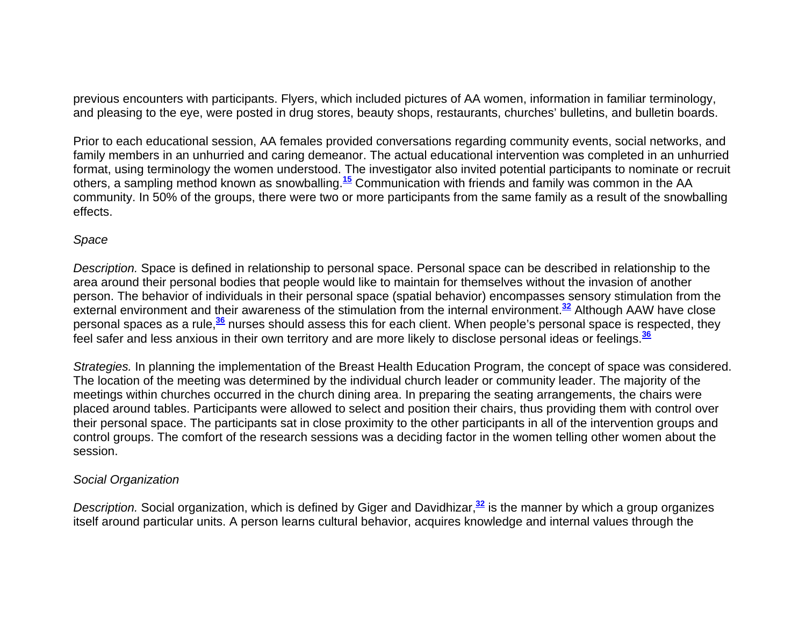previous encounters with participants. Flyers, which included pictures of AA women, information in familiar terminology, and pleasing to the eye, were posted in drug stores, beauty shops, restaurants, churches' bulletins, and bulletin boards.

Prior to each educational session, AA females provided conversations regarding community events, social networks, and family members in an unhurried and caring demeanor. The actual educational intervention was completed in an unhurried format, using terminology the women understood. The investigator also invited potential participants to nominate or recruit others, a sampling method known as snowballing.**<sup>15</sup>** Communication with friends and family was common in the AA community. In 50% of the groups, there were two or more participants from the same family as a result of the snowballing effects.

#### *Space*

*Description.* Space is defined in relationship to personal space. Personal space can be described in relationship to the area around their personal bodies that people would like to maintain for themselves without the invasion of another person. The behavior of individuals in their personal space (spatial behavior) encompasses sensory stimulation from the external environment and their awareness of the stimulation from the internal environment.**<sup>32</sup>** Although AAW have close personal spaces as a rule,**<sup>36</sup>** nurses should assess this for each client. When people's personal space is respected, they feel safer and less anxious in their own territory and are more likely to disclose personal ideas or feelings.**<sup>36</sup>**

*Strategies.* In planning the implementation of the Breast Health Education Program, the concept of space was considered. The location of the meeting was determined by the individual church leader or community leader. The majority of the meetings within churches occurred in the church dining area. In preparing the seating arrangements, the chairs were placed around tables. Participants were allowed to select and position their chairs, thus providing them with control over their personal space. The participants sat in close proximity to the other participants in all of the intervention groups and control groups. The comfort of the research sessions was a deciding factor in the women telling other women about the session.

#### *Social Organization*

*Description.* Social organization, which is defined by Giger and Davidhizar,**<sup>32</sup>** is the manner by which a group organizes itself around particular units. A person learns cultural behavior, acquires knowledge and internal values through the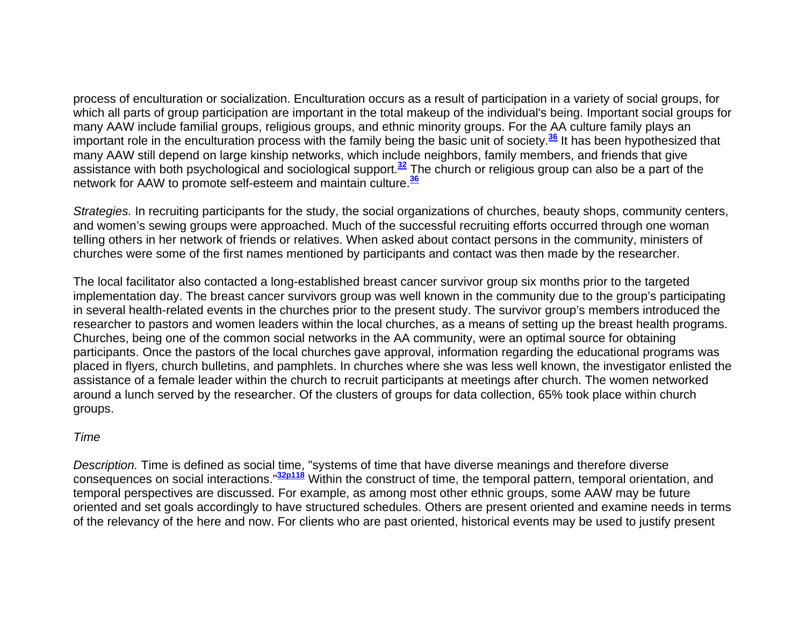process of enculturation or socialization. Enculturation occurs as a result of participation in a variety of social groups, for which all parts of group participation are important in the total makeup of the individual's being. Important social groups for many AAW include familial groups, religious groups, and ethnic minority groups. For the AA culture family plays an important role in the enculturation process with the family being the basic unit of society.**<sup>36</sup>** It has been hypothesized that many AAW still depend on large kinship networks, which include neighbors, family members, and friends that give assistance with both psychological and sociological support.**<sup>32</sup>** The church or religious group can also be a part of the network for AAW to promote self-esteem and maintain culture.**<sup>36</sup>**

*Strategies.* In recruiting participants for the study, the social organizations of churches, beauty shops, community centers, and women's sewing groups were approached. Much of the successful recruiting efforts occurred through one woman telling others in her network of friends or relatives. When asked about contact persons in the community, ministers of churches were some of the first names mentioned by participants and contact was then made by the researcher.

The local facilitator also contacted a long-established breast cancer survivor group six months prior to the targeted implementation day. The breast cancer survivors group was well known in the community due to the group's participating in several health-related events in the churches prior to the present study. The survivor group's members introduced the researcher to pastors and women leaders within the local churches, as a means of setting up the breast health programs. Churches, being one of the common social networks in the AA community, were an optimal source for obtaining participants. Once the pastors of the local churches gave approval, information regarding the educational programs was placed in flyers, church bulletins, and pamphlets. In churches where she was less well known, the investigator enlisted the assistance of a female leader within the church to recruit participants at meetings after church. The women networked around a lunch served by the researcher. Of the clusters of groups for data collection, 65% took place within church groups.

#### *Time*

*Description.* Time is defined as social time, "systems of time that have diverse meanings and therefore diverse consequences on social interactions."**32p118** Within the construct of time, the temporal pattern, temporal orientation, and temporal perspectives are discussed. For example, as among most other ethnic groups, some AAW may be future oriented and set goals accordingly to have structured schedules. Others are present oriented and examine needs in terms of the relevancy of the here and now. For clients who are past oriented, historical events may be used to justify present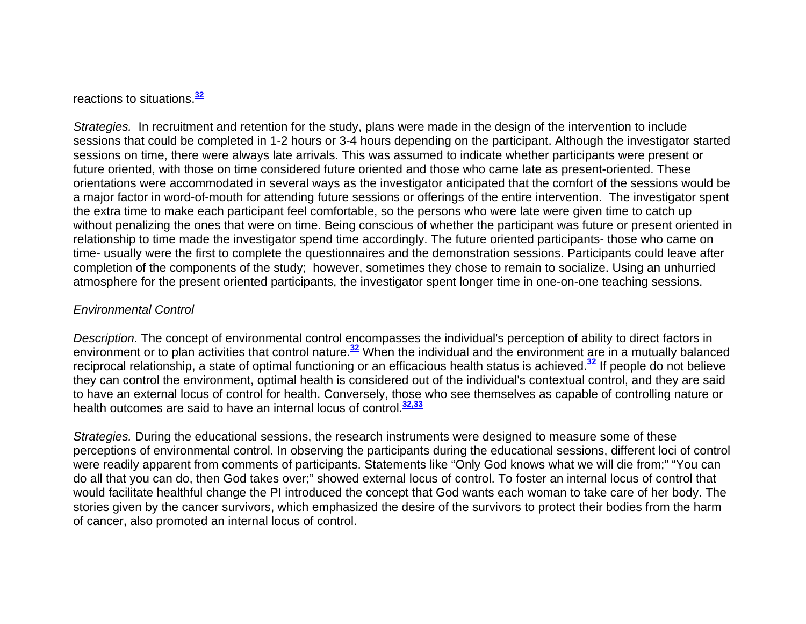reactions to situations.**<sup>32</sup>**

*Strategies.* In recruitment and retention for the study, plans were made in the design of the intervention to include sessions that could be completed in 1-2 hours or 3-4 hours depending on the participant. Although the investigator started sessions on time, there were always late arrivals. This was assumed to indicate whether participants were present or future oriented, with those on time considered future oriented and those who came late as present-oriented. These orientations were accommodated in several ways as the investigator anticipated that the comfort of the sessions would be a major factor in word-of-mouth for attending future sessions or offerings of the entire intervention. The investigator spent the extra time to make each participant feel comfortable, so the persons who were late were given time to catch up without penalizing the ones that were on time. Being conscious of whether the participant was future or present oriented in relationship to time made the investigator spend time accordingly. The future oriented participants- those who came on time- usually were the first to complete the questionnaires and the demonstration sessions. Participants could leave after completion of the components of the study; however, sometimes they chose to remain to socialize. Using an unhurried atmosphere for the present oriented participants, the investigator spent longer time in one-on-one teaching sessions.

#### *Environmental Control*

*Description.* The concept of environmental control encompasses the individual's perception of ability to direct factors in environment or to plan activities that control nature.**<sup>32</sup>** When the individual and the environment are in a mutually balanced reciprocal relationship, a state of optimal functioning or an efficacious health status is achieved.**<sup>32</sup>** If people do not believe they can control the environment, optimal health is considered out of the individual's contextual control, and they are said to have an external locus of control for health. Conversely, those who see themselves as capable of controlling nature or health outcomes are said to have an internal locus of control.**32,33**

*Strategies.* During the educational sessions, the research instruments were designed to measure some of these perceptions of environmental control. In observing the participants during the educational sessions, different loci of control were readily apparent from comments of participants. Statements like "Only God knows what we will die from;" "You can do all that you can do, then God takes over;" showed external locus of control. To foster an internal locus of control that would facilitate healthful change the PI introduced the concept that God wants each woman to take care of her body. The stories given by the cancer survivors, which emphasized the desire of the survivors to protect their bodies from the harm of cancer, also promoted an internal locus of control.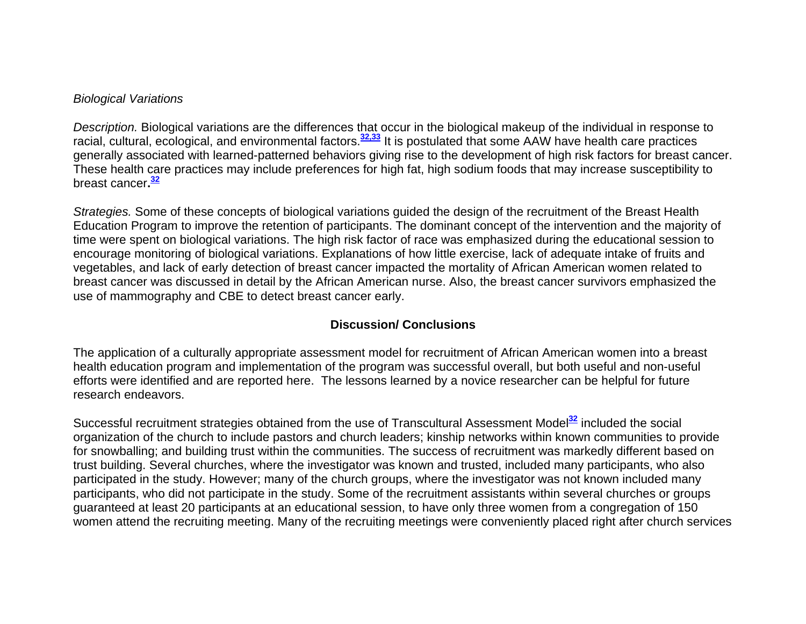#### *Biological Variations*

*Description.* Biological variations are the differences that occur in the biological makeup of the individual in response to racial, cultural, ecological, and environmental factors.**32,33** It is postulated that some AAW have health care practices generally associated with learned-patterned behaviors giving rise to the development of high risk factors for breast cancer. These health care practices may include preferences for high fat, high sodium foods that may increase susceptibility to breast cancer**.<sup>32</sup>**

*Strategies.* Some of these concepts of biological variations guided the design of the recruitment of the Breast Health Education Program to improve the retention of participants. The dominant concept of the intervention and the majority of time were spent on biological variations. The high risk factor of race was emphasized during the educational session to encourage monitoring of biological variations. Explanations of how little exercise, lack of adequate intake of fruits and vegetables, and lack of early detection of breast cancer impacted the mortality of African American women related to breast cancer was discussed in detail by the African American nurse. Also, the breast cancer survivors emphasized the use of mammography and CBE to detect breast cancer early.

## **Discussion/ Conclusions**

The application of a culturally appropriate assessment model for recruitment of African American women into a breast health education program and implementation of the program was successful overall, but both useful and non-useful efforts were identified and are reported here. The lessons learned by a novice researcher can be helpful for future research endeavors.

Successful recruitment strategies obtained from the use of Transcultural Assessment Model**<sup>32</sup>** included the social organization of the church to include pastors and church leaders; kinship networks within known communities to provide for snowballing; and building trust within the communities. The success of recruitment was markedly different based on trust building. Several churches, where the investigator was known and trusted, included many participants, who also participated in the study. However; many of the church groups, where the investigator was not known included many participants, who did not participate in the study. Some of the recruitment assistants within several churches or groups guaranteed at least 20 participants at an educational session, to have only three women from a congregation of 150 women attend the recruiting meeting. Many of the recruiting meetings were conveniently placed right after church services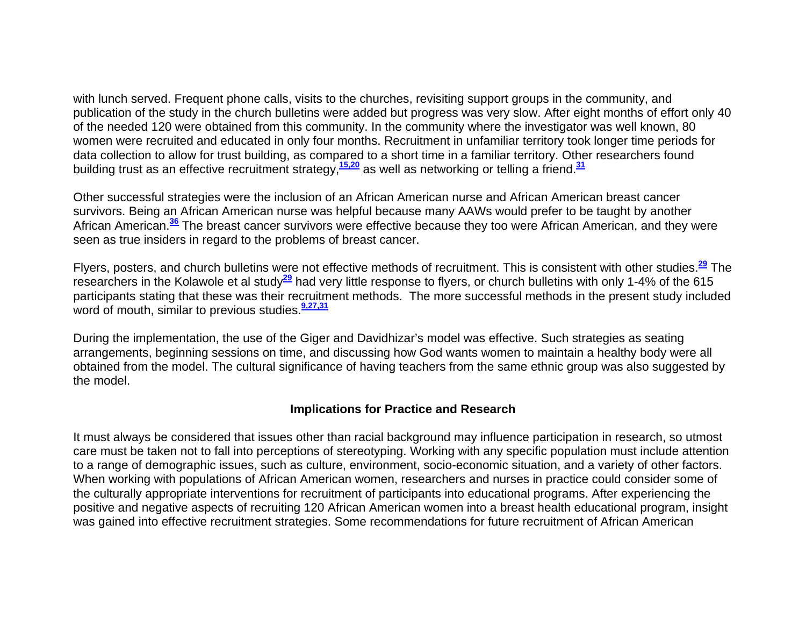with lunch served. Frequent phone calls, visits to the churches, revisiting support groups in the community, and publication of the study in the church bulletins were added but progress was very slow. After eight months of effort only 40 of the needed 120 were obtained from this community. In the community where the investigator was well known, 80 women were recruited and educated in only four months. Recruitment in unfamiliar territory took longer time periods for data collection to allow for trust building, as compared to a short time in a familiar territory. Other researchers found building trust as an effective recruitment strategy,**15,20** as well as networking or telling a friend.**<sup>31</sup>**

Other successful strategies were the inclusion of an African American nurse and African American breast cancer survivors. Being an African American nurse was helpful because many AAWs would prefer to be taught by another African American.**<sup>36</sup>** The breast cancer survivors were effective because they too were African American, and they were seen as true insiders in regard to the problems of breast cancer.

Flyers, posters, and church bulletins were not effective methods of recruitment. This is consistent with other studies.**<sup>29</sup>** The researchers in the Kolawole et al study**<sup>29</sup>** had very little response to flyers, or church bulletins with only 1-4% of the 615 participants stating that these was their recruitment methods. The more successful methods in the present study included word of mouth, similar to previous studies.**9,27,31**

During the implementation, the use of the Giger and Davidhizar's model was effective. Such strategies as seating arrangements, beginning sessions on time, and discussing how God wants women to maintain a healthy body were all obtained from the model. The cultural significance of having teachers from the same ethnic group was also suggested by the model.

#### **Implications for Practice and Research**

It must always be considered that issues other than racial background may influence participation in research, so utmost care must be taken not to fall into perceptions of stereotyping. Working with any specific population must include attention to a range of demographic issues, such as culture, environment, socio-economic situation, and a variety of other factors. When working with populations of African American women, researchers and nurses in practice could consider some of the culturally appropriate interventions for recruitment of participants into educational programs. After experiencing the positive and negative aspects of recruiting 120 African American women into a breast health educational program, insight was gained into effective recruitment strategies. Some recommendations for future recruitment of African American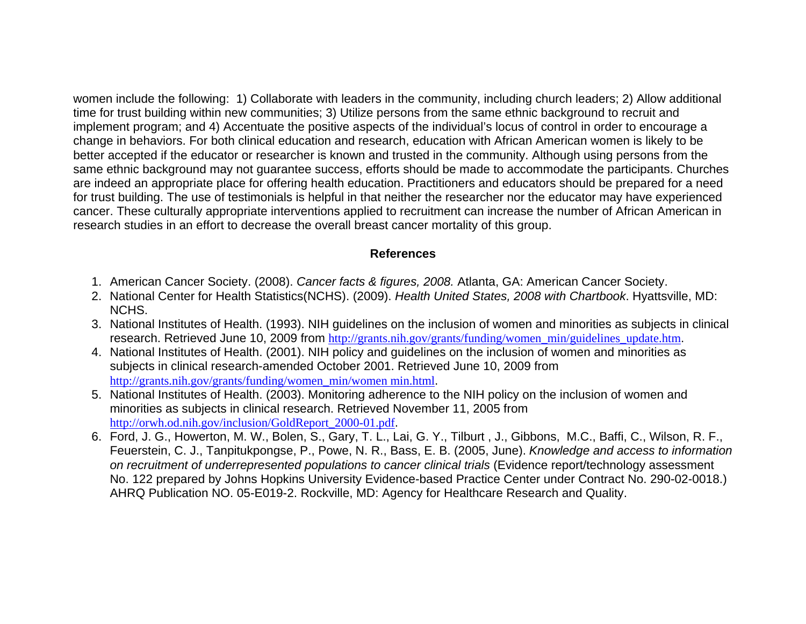women include the following: 1) Collaborate with leaders in the community, including church leaders; 2) Allow additional time for trust building within new communities; 3) Utilize persons from the same ethnic background to recruit and implement program; and 4) Accentuate the positive aspects of the individual's locus of control in order to encourage a change in behaviors. For both clinical education and research, education with African American women is likely to be better accepted if the educator or researcher is known and trusted in the community. Although using persons from the same ethnic background may not guarantee success, efforts should be made to accommodate the participants. Churches are indeed an appropriate place for offering health education. Practitioners and educators should be prepared for a need for trust building. The use of testimonials is helpful in that neither the researcher nor the educator may have experienced cancer. These culturally appropriate interventions applied to recruitment can increase the number of African American in research studies in an effort to decrease the overall breast cancer mortality of this group.

## **References**

- 1. American Cancer Society. (2008). *Cancer facts & figures, 2008.* Atlanta, GA: American Cancer Society.
- 2. National Center for Health Statistics(NCHS). (2009). *Health United States, 2008 with Chartbook*. Hyattsville, MD: NCHS.
- 3. National Institutes of Health. (1993). NIH guidelines on the inclusion of women and minorities as subjects in clinical research. Retrieved June 10, 2009 from http://grants.nih.gov/grants/funding/women\_min/guidelines\_update.htm.
- 4. National Institutes of Health. (2001). NIH policy and guidelines on the inclusion of women and minorities as subjects in clinical research-amended October 2001. Retrieved June 10, 2009 from http://grants.nih.gov/grants/funding/women\_min/women min.html.
- 5. National Institutes of Health. (2003). Monitoring adherence to the NIH policy on the inclusion of women and minorities as subjects in clinical research. Retrieved November 11, 2005 from http://orwh.od.nih.gov/inclusion/GoldReport\_2000-01.pdf.
- 6. Ford, J. G., Howerton, M. W., Bolen, S., Gary, T. L., Lai, G. Y., Tilburt , J., Gibbons, M.C., Baffi, C., Wilson, R. F., Feuerstein, C. J., Tanpitukpongse, P., Powe, N. R., Bass, E. B. (2005, June). *Knowledge and access to information on recruitment of underrepresented populations to cancer clinical trials* (Evidence report/technology assessment No. 122 prepared by Johns Hopkins University Evidence-based Practice Center under Contract No. 290-02-0018.) AHRQ Publication NO. 05-E019-2. Rockville, MD: Agency for Healthcare Research and Quality.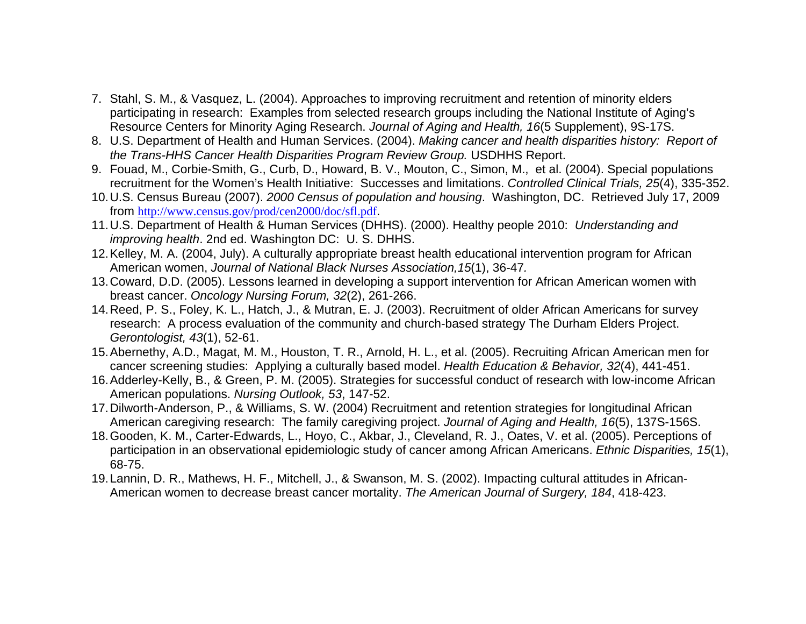- 7. Stahl, S. M., & Vasquez, L. (2004). Approaches to improving recruitment and retention of minority elders participating in research: Examples from selected research groups including the National Institute of Aging's Resource Centers for Minority Aging Research. *Journal of Aging and Health, 16*(5 Supplement), 9S-17S.
- 8. U.S. Department of Health and Human Services. (2004). *Making cancer and health disparities history: Report of the Trans-HHS Cancer Health Disparities Program Review Group.* USDHHS Report.
- 9. Fouad, M., Corbie-Smith, G., Curb, D., Howard, B. V., Mouton, C., Simon, M., et al. (2004). Special populations recruitment for the Women's Health Initiative: Successes and limitations. *Controlled Clinical Trials, 25*(4), 335-352.
- 10. U.S. Census Bureau (2007). *2000 Census of population and housing*. Washington, DC. Retrieved July 17, 2009 from http://www.census.gov/prod/cen2000/doc/sfl.pdf.
- 11. U.S. Department of Health & Human Services (DHHS). (2000). Healthy people 2010: *Understanding and improving health*. 2nd ed. Washington DC: U. S. DHHS.
- 12. Kelley, M. A. (2004, July). A culturally appropriate breast health educational intervention program for African American women, *Journal of National Black Nurses Association,15*(1), 36-47*.*
- 13. Coward, D.D. (2005). Lessons learned in developing a support intervention for African American women with breast cancer. *Oncology Nursing Forum, 32*(2), 261-266.
- 14. Reed, P. S., Foley, K. L., Hatch, J., & Mutran, E. J. (2003). Recruitment of older African Americans for survey research: A process evaluation of the community and church-based strategy The Durham Elders Project. *Gerontologist, 43*(1), 52-61.
- 15. Abernethy, A.D., Magat, M. M., Houston, T. R., Arnold, H. L., et al. (2005). Recruiting African American men for cancer screening studies: Applying a culturally based model. *Health Education & Behavior, 32*(4), 441-451.
- 16. Adderley-Kelly, B., & Green, P. M. (2005). Strategies for successful conduct of research with low-income African American populations. *Nursing Outlook, 53*, 147-52.
- 17. Dilworth-Anderson, P., & Williams, S. W. (2004) Recruitment and retention strategies for longitudinal African American caregiving research: The family caregiving project. *Journal of Aging and Health, 16*(5), 137S-156S.
- 18. Gooden, K. M., Carter-Edwards, L., Hoyo, C., Akbar, J., Cleveland, R. J., Oates, V. et al. (2005). Perceptions of participation in an observational epidemiologic study of cancer among African Americans. *Ethnic Disparities, 15*(1), 68-75.
- 19. Lannin, D. R., Mathews, H. F., Mitchell, J., & Swanson, M. S. (2002). Impacting cultural attitudes in African-American women to decrease breast cancer mortality. *The American Journal of Surgery, 184*, 418-423.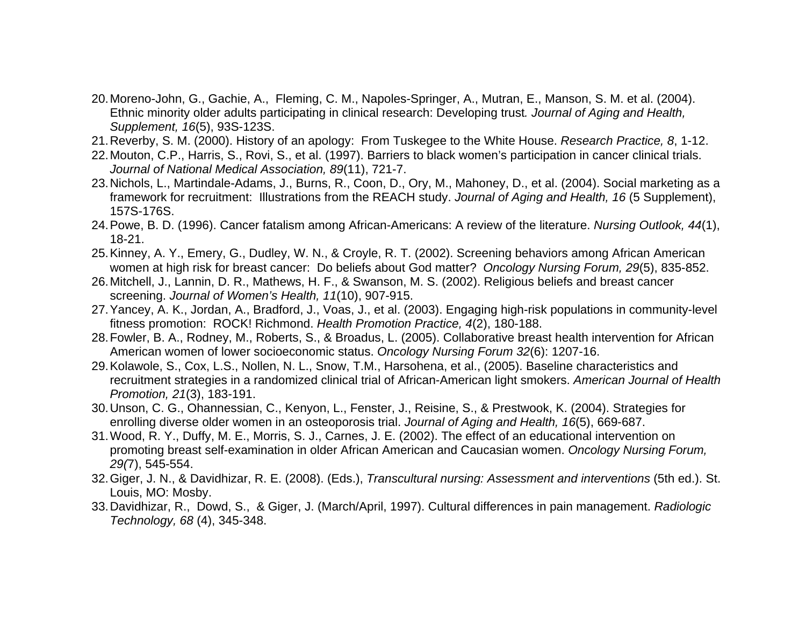- 20. Moreno-John, G., Gachie, A., Fleming, C. M., Napoles-Springer, A., Mutran, E., Manson, S. M. et al. (2004). Ethnic minority older adults participating in clinical research: Developing trust*. Journal of Aging and Health, Supplement, 16*(5), 93S-123S.
- 21. Reverby, S. M. (2000). History of an apology: From Tuskegee to the White House. *Research Practice, 8*, 1-12.
- 22. Mouton, C.P., Harris, S., Rovi, S., et al. (1997). Barriers to black women's participation in cancer clinical trials. *Journal of National Medical Association, 89*(11), 721-7.
- 23. Nichols, L., Martindale-Adams, J., Burns, R., Coon, D., Ory, M., Mahoney, D., et al. (2004). Social marketing as a framework for recruitment: Illustrations from the REACH study. *Journal of Aging and Health, 16* (5 Supplement), 157S-176S.
- 24. Powe, B. D. (1996). Cancer fatalism among African-Americans: A review of the literature. *Nursing Outlook, 44*(1), 18-21.
- 25. Kinney, A. Y., Emery, G., Dudley, W. N., & Croyle, R. T. (2002). Screening behaviors among African American women at high risk for breast cancer: Do beliefs about God matter? *Oncology Nursing Forum, 29*(5), 835-852.
- 26. Mitchell, J., Lannin, D. R., Mathews, H. F., & Swanson, M. S. (2002). Religious beliefs and breast cancer screening. *Journal of Women's Health, 11*(10), 907-915.
- 27. Yancey, A. K., Jordan, A., Bradford, J., Voas, J., et al. (2003). Engaging high-risk populations in community-level fitness promotion: ROCK! Richmond. *Health Promotion Practice, 4*(2), 180-188.
- 28. Fowler, B. A., Rodney, M., Roberts, S., & Broadus, L. (2005). Collaborative breast health intervention for African American women of lower socioeconomic status. *Oncology Nursing Forum 32*(6): 1207-16.
- 29. Kolawole, S., Cox, L.S., Nollen, N. L., Snow, T.M., Harsohena, et al., (2005). Baseline characteristics and recruitment strategies in a randomized clinical trial of African-American light smokers. *American Journal of Health Promotion, 21*(3), 183-191.
- 30. Unson, C. G., Ohannessian, C., Kenyon, L., Fenster, J., Reisine, S., & Prestwook, K. (2004). Strategies for enrolling diverse older women in an osteoporosis trial. *Journal of Aging and Health, 16*(5), 669-687.
- 31. Wood, R. Y., Duffy, M. E., Morris, S. J., Carnes, J. E. (2002). The effect of an educational intervention on promoting breast self-examination in older African American and Caucasian women. *Oncology Nursing Forum, 29(*7), 545-554.
- 32. Giger, J. N., & Davidhizar, R. E. (2008). (Eds.), *Transcultural nursing: Assessment and interventions* (5th ed.). St. Louis, MO: Mosby.
- 33. Davidhizar, R., Dowd, S., & Giger, J. (March/April, 1997). Cultural differences in pain management. *Radiologic Technology, 68* (4), 345-348.